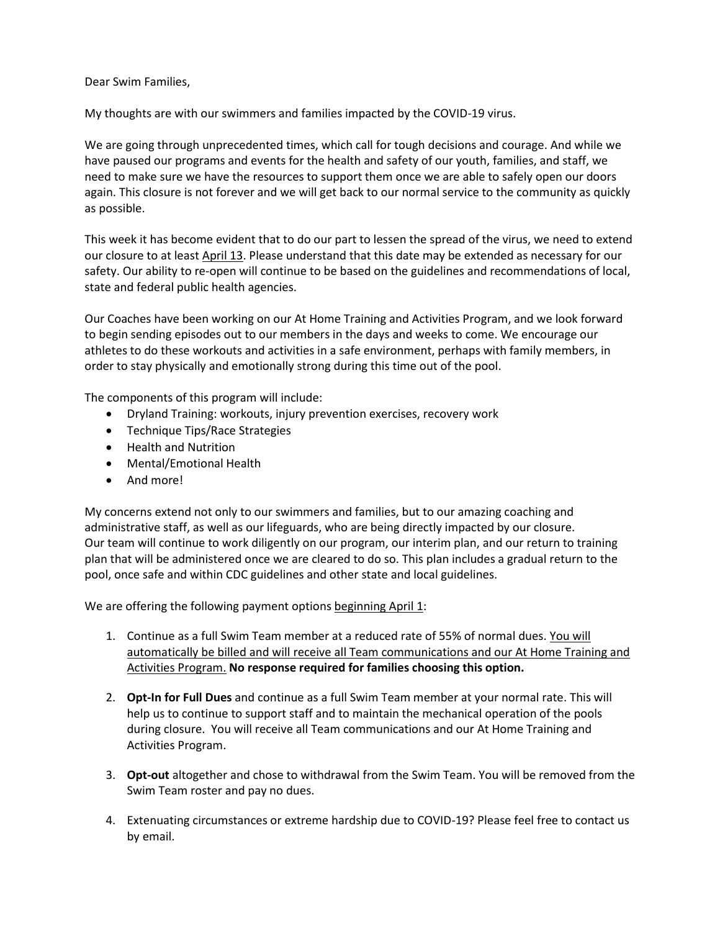## Dear Swim Families,

My thoughts are with our swimmers and families impacted by the COVID-19 virus.

We are going through unprecedented times, which call for tough decisions and courage. And while we have paused our programs and events for the health and safety of our youth, families, and staff, we need to make sure we have the resources to support them once we are able to safely open our doors again. This closure is not forever and we will get back to our normal service to the community as quickly as possible.

This week it has become evident that to do our part to lessen the spread of the virus, we need to extend our closure to at least April 13. Please understand that this date may be extended as necessary for our safety. Our ability to re-open will continue to be based on the guidelines and recommendations of local, state and federal public health agencies.

Our Coaches have been working on our At Home Training and Activities Program, and we look forward to begin sending episodes out to our members in the days and weeks to come. We encourage our athletes to do these workouts and activities in a safe environment, perhaps with family members, in order to stay physically and emotionally strong during this time out of the pool.

The components of this program will include:

- Dryland Training: workouts, injury prevention exercises, recovery work
- Technique Tips/Race Strategies
- Health and Nutrition
- Mental/Emotional Health
- And more!

My concerns extend not only to our swimmers and families, but to our amazing coaching and administrative staff, as well as our lifeguards, who are being directly impacted by our closure. Our team will continue to work diligently on our program, our interim plan, and our return to training plan that will be administered once we are cleared to do so. This plan includes a gradual return to the pool, once safe and within CDC guidelines and other state and local guidelines.

We are offering the following payment options beginning April 1:

- 1. Continue as a full Swim Team member at a reduced rate of 55% of normal dues. You will automatically be billed and will receive all Team communications and our At Home Training and Activities Program. **No response required for families choosing this option.**
- 2. **Opt-In for Full Dues** and continue as a full Swim Team member at your normal rate. This will help us to continue to support staff and to maintain the mechanical operation of the pools during closure. You will receive all Team communications and our At Home Training and Activities Program.
- 3. **Opt-out** altogether and chose to withdrawal from the Swim Team. You will be removed from the Swim Team roster and pay no dues.
- 4. Extenuating circumstances or extreme hardship due to COVID-19? Please feel free to contact us by email.